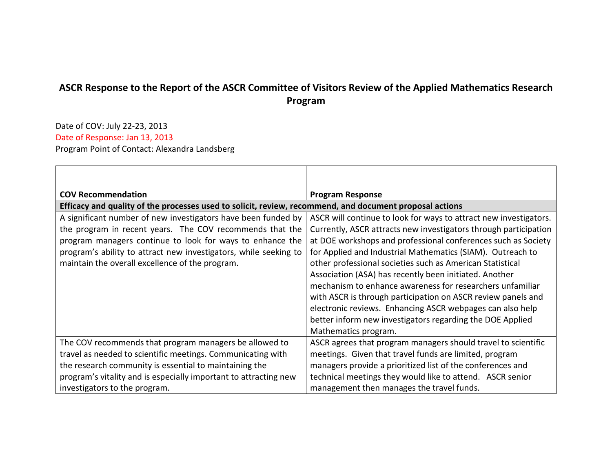## **ASCR Response to the Report of the ASCR Committee of Visitors Review of the Applied Mathematics Research Program**

Date of COV: July 22-23, 2013 Date of Response: Jan 13, 2013 Program Point of Contact: Alexandra Landsberg

| <b>COV Recommendation</b>                                                                               | <b>Program Response</b>                                           |  |
|---------------------------------------------------------------------------------------------------------|-------------------------------------------------------------------|--|
| Efficacy and quality of the processes used to solicit, review, recommend, and document proposal actions |                                                                   |  |
| A significant number of new investigators have been funded by                                           | ASCR will continue to look for ways to attract new investigators. |  |
| the program in recent years. The COV recommends that the                                                | Currently, ASCR attracts new investigators through participation  |  |
| program managers continue to look for ways to enhance the                                               | at DOE workshops and professional conferences such as Society     |  |
| program's ability to attract new investigators, while seeking to                                        | for Applied and Industrial Mathematics (SIAM). Outreach to        |  |
| maintain the overall excellence of the program.                                                         | other professional societies such as American Statistical         |  |
|                                                                                                         | Association (ASA) has recently been initiated. Another            |  |
|                                                                                                         | mechanism to enhance awareness for researchers unfamiliar         |  |
|                                                                                                         | with ASCR is through participation on ASCR review panels and      |  |
|                                                                                                         | electronic reviews. Enhancing ASCR webpages can also help         |  |
|                                                                                                         | better inform new investigators regarding the DOE Applied         |  |
|                                                                                                         | Mathematics program.                                              |  |
| The COV recommends that program managers be allowed to                                                  | ASCR agrees that program managers should travel to scientific     |  |
| travel as needed to scientific meetings. Communicating with                                             | meetings. Given that travel funds are limited, program            |  |
| the research community is essential to maintaining the                                                  | managers provide a prioritized list of the conferences and        |  |
| program's vitality and is especially important to attracting new                                        | technical meetings they would like to attend. ASCR senior         |  |
| investigators to the program.                                                                           | management then manages the travel funds.                         |  |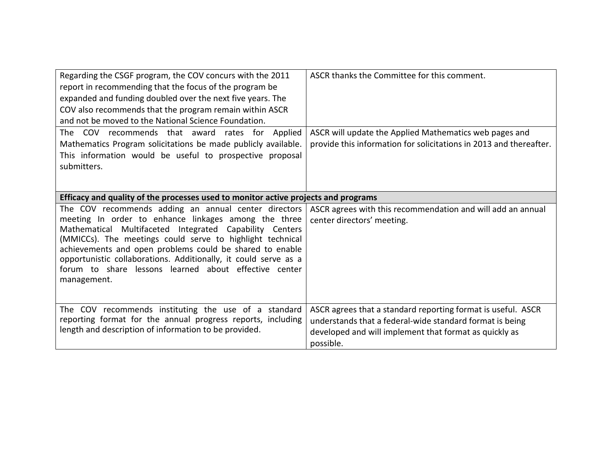| Regarding the CSGF program, the COV concurs with the 2011<br>report in recommending that the focus of the program be<br>expanded and funding doubled over the next five years. The<br>COV also recommends that the program remain within ASCR<br>and not be moved to the National Science Foundation.<br>The COV recommends that award rates for Applied                                                                                    | ASCR thanks the Committee for this comment.<br>ASCR will update the Applied Mathematics web pages and                                                                                           |  |
|---------------------------------------------------------------------------------------------------------------------------------------------------------------------------------------------------------------------------------------------------------------------------------------------------------------------------------------------------------------------------------------------------------------------------------------------|-------------------------------------------------------------------------------------------------------------------------------------------------------------------------------------------------|--|
| Mathematics Program solicitations be made publicly available.<br>This information would be useful to prospective proposal<br>submitters.                                                                                                                                                                                                                                                                                                    | provide this information for solicitations in 2013 and thereafter.                                                                                                                              |  |
| Efficacy and quality of the processes used to monitor active projects and programs                                                                                                                                                                                                                                                                                                                                                          |                                                                                                                                                                                                 |  |
| The COV recommends adding an annual center directors<br>meeting In order to enhance linkages among the three<br>Mathematical Multifaceted Integrated Capability Centers<br>(MMICCs). The meetings could serve to highlight technical<br>achievements and open problems could be shared to enable<br>opportunistic collaborations. Additionally, it could serve as a<br>forum to share lessons learned about effective center<br>management. | ASCR agrees with this recommendation and will add an annual<br>center directors' meeting.                                                                                                       |  |
| The COV recommends instituting the use of a standard<br>reporting format for the annual progress reports, including<br>length and description of information to be provided.                                                                                                                                                                                                                                                                | ASCR agrees that a standard reporting format is useful. ASCR<br>understands that a federal-wide standard format is being<br>developed and will implement that format as quickly as<br>possible. |  |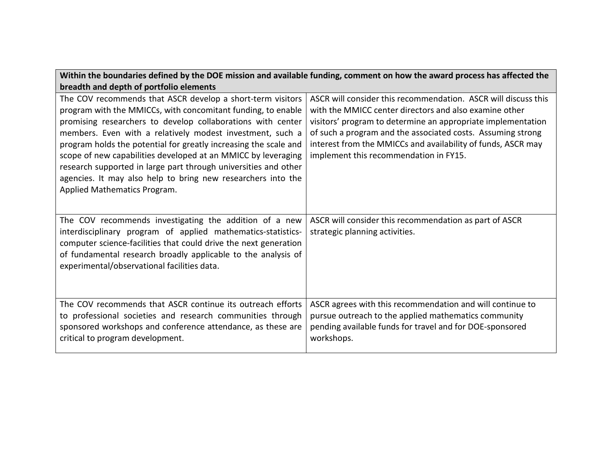| Within the boundaries defined by the DOE mission and available funding, comment on how the award process has affected the                                                                                                                                                                                                                                                                                                                                                                                                                                      |                                                                                                                                                                                                                                                                                                                                                                   |  |
|----------------------------------------------------------------------------------------------------------------------------------------------------------------------------------------------------------------------------------------------------------------------------------------------------------------------------------------------------------------------------------------------------------------------------------------------------------------------------------------------------------------------------------------------------------------|-------------------------------------------------------------------------------------------------------------------------------------------------------------------------------------------------------------------------------------------------------------------------------------------------------------------------------------------------------------------|--|
| breadth and depth of portfolio elements                                                                                                                                                                                                                                                                                                                                                                                                                                                                                                                        |                                                                                                                                                                                                                                                                                                                                                                   |  |
| The COV recommends that ASCR develop a short-term visitors<br>program with the MMICCs, with concomitant funding, to enable<br>promising researchers to develop collaborations with center<br>members. Even with a relatively modest investment, such a<br>program holds the potential for greatly increasing the scale and<br>scope of new capabilities developed at an MMICC by leveraging<br>research supported in large part through universities and other<br>agencies. It may also help to bring new researchers into the<br>Applied Mathematics Program. | ASCR will consider this recommendation. ASCR will discuss this<br>with the MMICC center directors and also examine other<br>visitors' program to determine an appropriate implementation<br>of such a program and the associated costs. Assuming strong<br>interest from the MMICCs and availability of funds, ASCR may<br>implement this recommendation in FY15. |  |
| The COV recommends investigating the addition of a new<br>interdisciplinary program of applied mathematics-statistics-<br>computer science-facilities that could drive the next generation<br>of fundamental research broadly applicable to the analysis of<br>experimental/observational facilities data.                                                                                                                                                                                                                                                     | ASCR will consider this recommendation as part of ASCR<br>strategic planning activities.                                                                                                                                                                                                                                                                          |  |
| The COV recommends that ASCR continue its outreach efforts<br>to professional societies and research communities through<br>sponsored workshops and conference attendance, as these are<br>critical to program development.                                                                                                                                                                                                                                                                                                                                    | ASCR agrees with this recommendation and will continue to<br>pursue outreach to the applied mathematics community<br>pending available funds for travel and for DOE-sponsored<br>workshops.                                                                                                                                                                       |  |